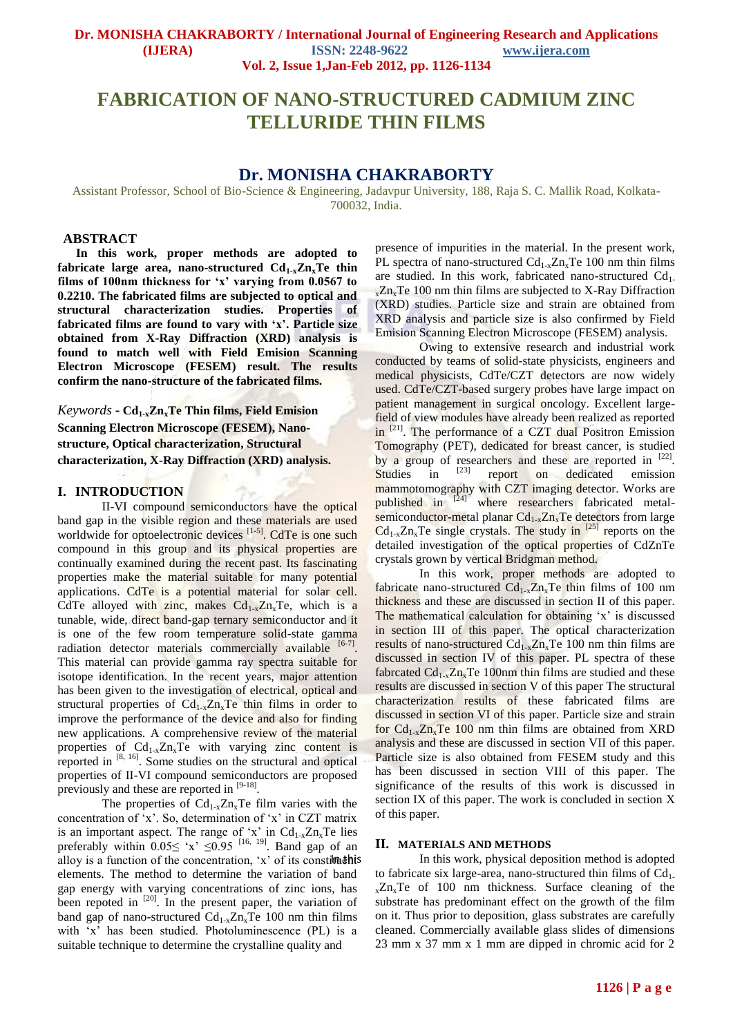# **FABRICATION OF NANO-STRUCTURED CADMIUM ZINC TELLURIDE THIN FILMS**

# **Dr. MONISHA CHAKRABORTY**

Assistant Professor, School of Bio-Science & Engineering, Jadavpur University, 188, Raja S. C. Mallik Road, Kolkata-700032, India.

## **ABSTRACT**

**In this work, proper methods are adopted to fabricate large area, nano-structured Cd1-xZnxTe thin films of 100nm thickness for 'x' varying from 0.0567 to 0.2210. The fabricated films are subjected to optical and structural characterization studies. Properties of fabricated films are found to vary with 'x'. Particle size obtained from X-Ray Diffraction (XRD) analysis is found to match well with Field Emision Scanning Electron Microscope (FESEM) result. The results confirm the nano-structure of the fabricated films.** 

*Keywords* **- Cd1-xZnxTe Thin films, Field Emision Scanning Electron Microscope (FESEM), Nanostructure, Optical characterization, Structural characterization, X-Ray Diffraction (XRD) analysis.**

#### **I. INTRODUCTION**

II-VI compound semiconductors have the optical band gap in the visible region and these materials are used worldwide for optoelectronic devices <sup>[1-5]</sup>. CdTe is one such compound in this group and its physical properties are continually examined during the recent past. Its fascinating properties make the material suitable for many potential applications. CdTe is a potential material for solar cell. CdTe alloyed with zinc, makes  $Cd_{1-x}Zn_xTe$ , which is a tunable, wide, direct band-gap ternary semiconductor and it is one of the few room temperature solid-state gamma radiation detector materials commercially available [6-7]. This material can provide gamma ray spectra suitable for isotope identification. In the recent years, major attention has been given to the investigation of electrical, optical and structural properties of  $Cd_{1-x}Zn_xTe$  thin films in order to improve the performance of the device and also for finding new applications. A comprehensive review of the material properties of  $Cd_{1-x}Zn_xTe$  with varying zinc content is reported in  $[8, 16]$ . Some studies on the structural and optical properties of II-VI compound semiconductors are proposed previously and these are reported in  $[9-18]$ .

The properties of  $Cd_{1-x}Zn_xTe$  film varies with the concentration of 'x'. So, determination of 'x' in CZT matrix is an important aspect. The range of 'x' in  $Cd_{1-x}Zn_xTe$  lies preferably within  $0.05 \leq x \leq 0.95$  [16, 19]. Band gap of an alloy is a function of the concentration,  $x'$  of its constituation elements. The method to determine the variation of band gap energy with varying concentrations of zinc ions, has been repoted in  $[20]$ . In the present paper, the variation of band gap of nano-structured  $Cd_{1-x}Zn_xTe$  100 nm thin films with 'x' has been studied. Photoluminescence (PL) is a suitable technique to determine the crystalline quality and

presence of impurities in the material. In the present work, PL spectra of nano-structured  $Cd_{1-x}Zn_xTe$  100 nm thin films are studied. In this work, fabricated nano-structured  $Cd<sub>1</sub>$ .  $x \, Zn_x$ Te 100 nm thin films are subjected to X-Ray Diffraction (XRD) studies. Particle size and strain are obtained from XRD analysis and particle size is also confirmed by Field Emision Scanning Electron Microscope (FESEM) analysis.

Owing to extensive research and industrial work conducted by teams of solid-state physicists, engineers and medical physicists, CdTe/CZT detectors are now widely used. CdTe/CZT-based surgery probes have large impact on patient management in surgical oncology. Excellent largefield of view modules have already been realized as reported in <sup>[21]</sup>. The performance of a CZT dual Positron Emission Tomography (PET), dedicated for breast cancer, is studied by a group of researchers and these are reported in  $[22]$ . Studies in  $[23]$ report on dedicated emission mammotomography with CZT imaging detector. Works are published in <sup>[24]</sup> where researchers fabricated metalsemiconductor-metal planar  $Cd_{1-x}Zn_xTe$  detectors from large  $Cd_{1-x}Zn_xTe$  single crystals. The study in  $^{[25]}$  reports on the detailed investigation of the optical properties of CdZnTe crystals grown by vertical Bridgman method.

In this work, proper methods are adopted to fabricate nano-structured  $Cd_{1-x}Zn_xTe$  thin films of 100 nm thickness and these are discussed in section II of this paper. The mathematical calculation for obtaining 'x' is discussed in section III of this paper. The optical characterization results of nano-structured  $Cd_{1-x}Zn_xTe$  100 nm thin films are discussed in section IV of this paper. PL spectra of these fabrcated  $Cd_{1-x}Zn_xTe$  100nm thin films are studied and these results are discussed in section V of this paper The structural characterization results of these fabricated films are discussed in section VI of this paper. Particle size and strain for  $Cd_{1-x}Zn_xTe$  100 nm thin films are obtained from XRD analysis and these are discussed in section VII of this paper. Particle size is also obtained from FESEM study and this has been discussed in section VIII of this paper. The significance of the results of this work is discussed in section IX of this paper. The work is concluded in section X of this paper.

#### **II. MATERIALS AND METHODS**

In this work, physical deposition method is adopted to fabricate six large-area, nano-structured thin films of  $Cd<sub>1</sub>$ .  $_{x}Zn_{x}Te$  of 100 nm thickness. Surface cleaning of the substrate has predominant effect on the growth of the film on it. Thus prior to deposition, glass substrates are carefully cleaned. Commercially available glass slides of dimensions 23 mm x 37 mm x 1 mm are dipped in chromic acid for 2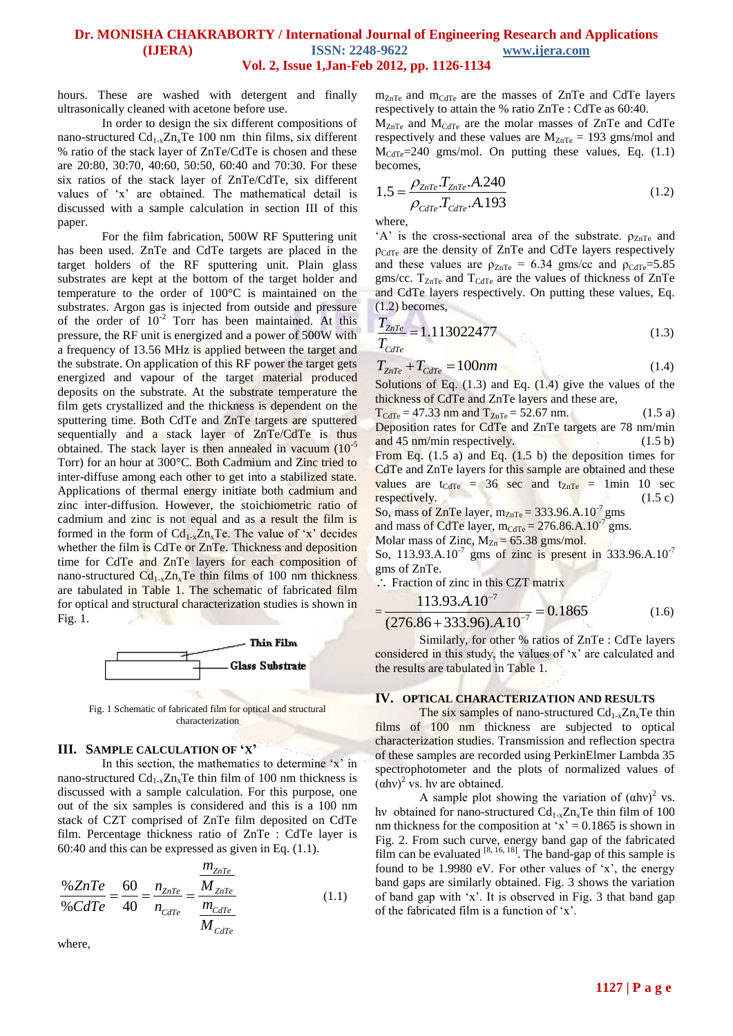hours. These are washed with detergent and finally ultrasonically cleaned with acetone before use.

 In order to design the six different compositions of nano-structured  $Cd_{1-x}Zn_xTe$  100 nm thin films, six different % ratio of the stack layer of ZnTe/CdTe is chosen and these are 20:80, 30:70, 40:60, 50:50, 60:40 and 70:30. For these six ratios of the stack layer of ZnTe/CdTe, six different values of 'x' are obtained. The mathematical detail is discussed with a sample calculation in section III of this paper.

For the film fabrication, 500W RF Sputtering unit has been used. ZnTe and CdTe targets are placed in the target holders of the RF sputtering unit. Plain glass substrates are kept at the bottom of the target holder and temperature to the order of 100°C is maintained on the substrates. Argon gas is injected from outside and pressure of the order of  $10^{-2}$  Torr has been maintained. At this pressure, the RF unit is energized and a power of 500W with a frequency of 13.56 MHz is applied between the target and the substrate. On application of this RF power the target gets energized and vapour of the target material produced deposits on the substrate. At the substrate temperature the film gets crystallized and the thickness is dependent on the sputtering time. Both CdTe and ZnTe targets are sputtered sequentially and a stack layer of ZnTe/CdTe is thus obtained. The stack layer is then annealed in vacuum  $(10^{-5})$ Torr) for an hour at 300°C. Both Cadmium and Zinc tried to inter-diffuse among each other to get into a stabilized state. Applications of thermal energy initiate both cadmium and zinc inter-diffusion. However, the stoichiometric ratio of cadmium and zinc is not equal and as a result the film is formed in the form of  $Cd_{1-x}Zn_xTe$ . The value of 'x' decides whether the film is CdTe or ZnTe. Thickness and deposition time for CdTe and ZnTe layers for each composition of nano-structured  $Cd_{1-x}Zn_xTe$  thin films of 100 nm thickness are tabulated in Table 1. The schematic of fabricated film for optical and structural characterization studies is shown in Fig. 1.



Fig. 1 Schematic of fabricated film for optical and structural characterization

## **III. SAMPLE CALCULATION OF 'X'**

In this section, the mathematics to determine 'x' in nano-structured  $Cd_{1-x}Zn_xTe$  thin film of 100 nm thickness is discussed with a sample calculation. For this purpose, one out of the six samples is considered and this is a 100 nm stack of CZT comprised of ZnTe film deposited on CdTe film. Percentage thickness ratio of ZnTe : CdTe layer is 60:40 and this can be expressed as given in Eq. (1.1).

$$
\frac{\% ZnTe}{\% CdTe} = \frac{60}{40} = \frac{n_{ZnTe}}{n_{CdTe}} = \frac{\frac{m_{ZnTe}}{M_{ZnTe}}}{\frac{m_{CdTe}}{M_{CdTe}}} \tag{1.1}
$$

where,

 $m_{ZnTe}$  and  $m_{CdTe}$  are the masses of ZnTe and CdTe layers respectively to attain the % ratio ZnTe : CdTe as 60:40.

 $M_{ZnTe}$  and  $M_{CdTe}$  are the molar masses of  $ZnTe$  and CdTe respectively and these values are  $M_{ZnTe} = 193$  gms/mol and  $M_{\text{CdTe}}$ =240 gms/mol. On putting these values, Eq. (1.1) becomes,

1.5 = 
$$
\frac{\rho_{ZnTe} T_{ZnTe} A.240}{\rho_{cdTe} T_{cdTe} A.193}
$$
 (1.2)

where,

=

'A' is the cross-sectional area of the substrate.  $\rho_{ZnTe}$  and  $\rho_{\text{CdTe}}$  are the density of ZnTe and CdTe layers respectively and these values are  $\rho_{ZnTe} = 6.34$  gms/cc and  $\rho_{CdTe} = 5.85$ gms/cc.  $T_{ZnTe}$  and  $T_{CdTe}$  are the values of thickness of  $ZnTe$ and CdTe layers respectively. On putting these values, Eq. (1.2) becomes,

$$
\frac{T_{\text{ZnTe}}}{T_{\text{CdTe}}} = 1.113022477\tag{1.3}
$$

$$
T_{ZnTe} + T_{CdTe} = 100nm \tag{1.4}
$$

Solutions of Eq.  $(1.3)$  and Eq.  $(1.4)$  give the values of the thickness of CdTe and ZnTe layers and these are,

TCdTe = 47.33 nm and TZnTe = 52.67 nm. (1.5 a) Deposition rates for CdTe and ZnTe targets are 78 nm/min and 45 nm/min respectively. (1.5 b) From Eq. (1.5 a) and Eq. (1.5 b) the deposition times for CdTe and ZnTe layers for this sample are obtained and these values are tCdTe = 36 sec and tZnTe = 1min 10 sec respectively. (1.5 c) So, mass of ZnTe layer, mZnTe = 333.96.A.10-7 gms

and mass of CdTe layer,  $m_{\text{CdTe}} = 276.86 \text{ A} \cdot 10^{-7} \text{ gms}$ .

Molar mass of Zinc,  $M_{Zn} = 65.38$  gms/mol.

So, 113.93.A.10<sup>-7</sup> gms of zinc is present in 333.96.A.10<sup>-7</sup> gms of ZnTe.

$$
\therefore \text{ Fraction of zinc in this CZT matrix} = \frac{113.93.A.10^{-7}}{(276.86 + 333.96).A.10^{-7}} = 0.1865
$$
(1.6)

Similarly, for other % ratios of ZnTe : CdTe layers considered in this study, the values of 'x' are calculated and the results are tabulated in Table 1.

#### **IV. OPTICAL CHARACTERIZATION AND RESULTS**

The six samples of nano-structured  $Cd<sub>1-x</sub>Zn<sub>x</sub>Te$  thin films of 100 nm thickness are subjected to optical characterization studies. Transmission and reflection spectra of these samples are recorded using PerkinElmer Lambda 35 spectrophotometer and the plots of normalized values of  $(ahv)^2$  vs. hv are obtained.

A sample plot showing the variation of  $(ahv)^2$  vs. hv obtained for nano-structured  $Cd_{1-x}Z_{n_x}Te$  thin film of 100 nm thickness for the composition at ' $x$ ' = 0.1865 is shown in Fig. 2. From such curve, energy band gap of the fabricated film can be evaluated  $[8, 16, 18]$ . The band-gap of this sample is found to be 1.9980 eV. For other values of 'x', the energy band gaps are similarly obtained. Fig. 3 shows the variation of band gap with 'x'. It is observed in Fig. 3 that band gap of the fabricated film is a function of 'x'.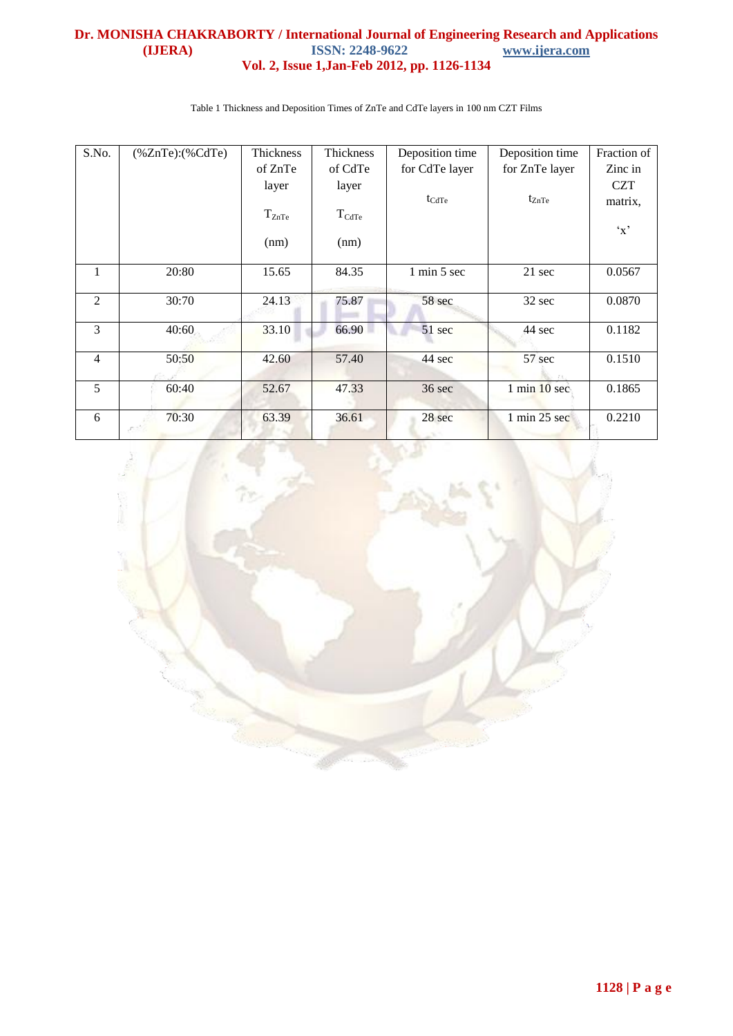| S.No.          | $%ZnTe$ : $%CdTe$ | Thickness  | Thickness         | Deposition time   | Deposition time                 | Fraction of  |
|----------------|-------------------|------------|-------------------|-------------------|---------------------------------|--------------|
|                |                   | of ZnTe    | of CdTe           | for CdTe layer    | for ZnTe layer                  | Zinc in      |
|                |                   | layer      | layer             |                   |                                 | <b>CZT</b>   |
|                |                   |            |                   | $t_{\text{CdTe}}$ | $t_{ZnTe}$                      | matrix,      |
|                |                   | $T_{ZnTe}$ | $T_{\text{CdTe}}$ |                   |                                 |              |
|                |                   |            |                   |                   |                                 | $\mathbf{x}$ |
|                |                   | (nm)       | (nm)              |                   |                                 |              |
| $\mathbf{1}$   | 20:80             | 15.65      | 84.35             | 1 min 5 sec       | 21 sec                          | 0.0567       |
|                |                   |            |                   |                   |                                 |              |
| 2              | 30:70             | 24.13      | 75.87             | 58 sec            | 32 sec                          | 0.0870       |
|                |                   |            |                   |                   |                                 |              |
| 3              | 40:60             | 33.10      | 66.90             | 51 sec            | 44 sec                          | 0.1182       |
|                |                   |            |                   |                   |                                 |              |
| $\overline{4}$ | 50:50             | 42.60      | 57.40             | 44 sec            | 57 sec                          | 0.1510       |
|                |                   |            |                   |                   |                                 |              |
| 5              | 60:40             | 52.67      | 47.33             | 36 sec            | $1 \text{ min } 10 \text{ sec}$ | 0.1865       |
| 6              | 70:30             | 63.39      | 36.61             | 28 sec            | $1 \text{ min } 25 \text{ sec}$ | 0.2210       |
|                |                   |            |                   |                   |                                 |              |

Table 1 Thickness and Deposition Times of ZnTe and CdTe layers in 100 nm CZT Films

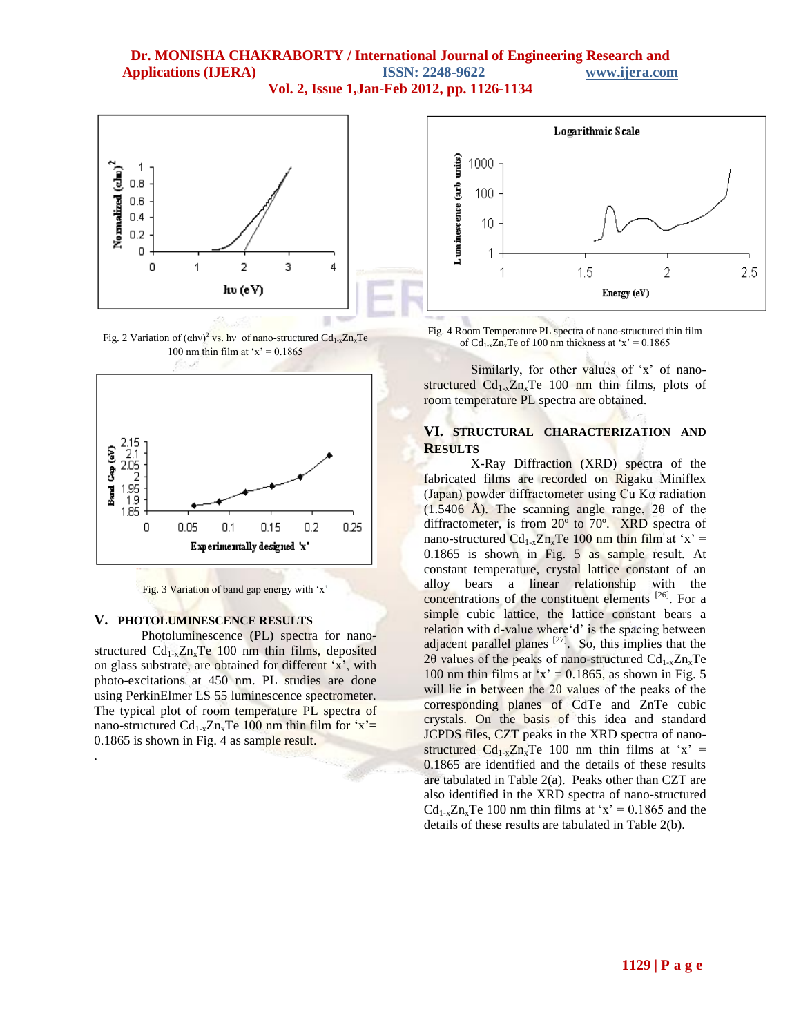

Fig. 2 Variation of  $(\alpha h v)^2$  vs. hv of nano-structured  $Cd_{1-x}Zn_xTe$ 100 nm thin film at ' $x$ ' = 0.1865



Fig. 3 Variation of band gap energy with 'x'

#### **V. PHOTOLUMINESCENCE RESULTS**

.

Photoluminescence (PL) spectra for nanostructured  $Cd_{1-x}Zn_xTe$  100 nm thin films, deposited on glass substrate, are obtained for different 'x', with photo-excitations at 450 nm. PL studies are done using PerkinElmer LS 55 luminescence spectrometer. The typical plot of room temperature PL spectra of nano-structured  $Cd_{1-x}Zn_xTe$  100 nm thin film for 'x'= 0.1865 is shown in Fig. 4 as sample result.



Fig. 4 Room Temperature PL spectra of nano-structured thin film of  $Cd_{1-x}Zn_xTe$  of 100 nm thickness at 'x' = 0.1865

Similarly, for other values of 'x' of nanostructured  $Cd_{1-x}Zn_xTe$  100 nm thin films, plots of room temperature PL spectra are obtained.

## **VI. STRUCTURAL CHARACTERIZATION AND RESULTS**

X-Ray Diffraction (XRD) spectra of the fabricated films are recorded on Rigaku Miniflex (Japan) powder diffractometer using  $Cu$  K $\alpha$  radiation (1.5406 Å). The scanning angle range, 2θ of the diffractometer, is from 20º to 70º. XRD spectra of nano-structured  $Cd_{1-x}Zn_xTe$  100 nm thin film at 'x' = 0.1865 is shown in Fig. 5 as sample result. At constant temperature, crystal lattice constant of an alloy bears a linear relationship with the concentrations of the constituent elements <sup>[26]</sup>. For a simple cubic lattice, the lattice constant bears a relation with d-value where'd' is the spacing between adjacent parallel planes  $[27]$ . So, this implies that the 2 $\theta$  values of the peaks of nano-structured  $Cd_{1-x}Zn_xTe$ 100 nm thin films at 'x' =  $0.1865$ , as shown in Fig. 5 will lie in between the 2θ values of the peaks of the corresponding planes of CdTe and ZnTe cubic crystals. On the basis of this idea and standard JCPDS files, CZT peaks in the XRD spectra of nanostructured  $Cd_{1-x}Zn_xTe$  100 nm thin films at 'x' = 0.1865 are identified and the details of these results are tabulated in Table 2(a). Peaks other than CZT are also identified in the XRD spectra of nano-structured  $Cd_{1-x}Zn_xTe$  100 nm thin films at 'x' = 0.1865 and the details of these results are tabulated in Table 2(b).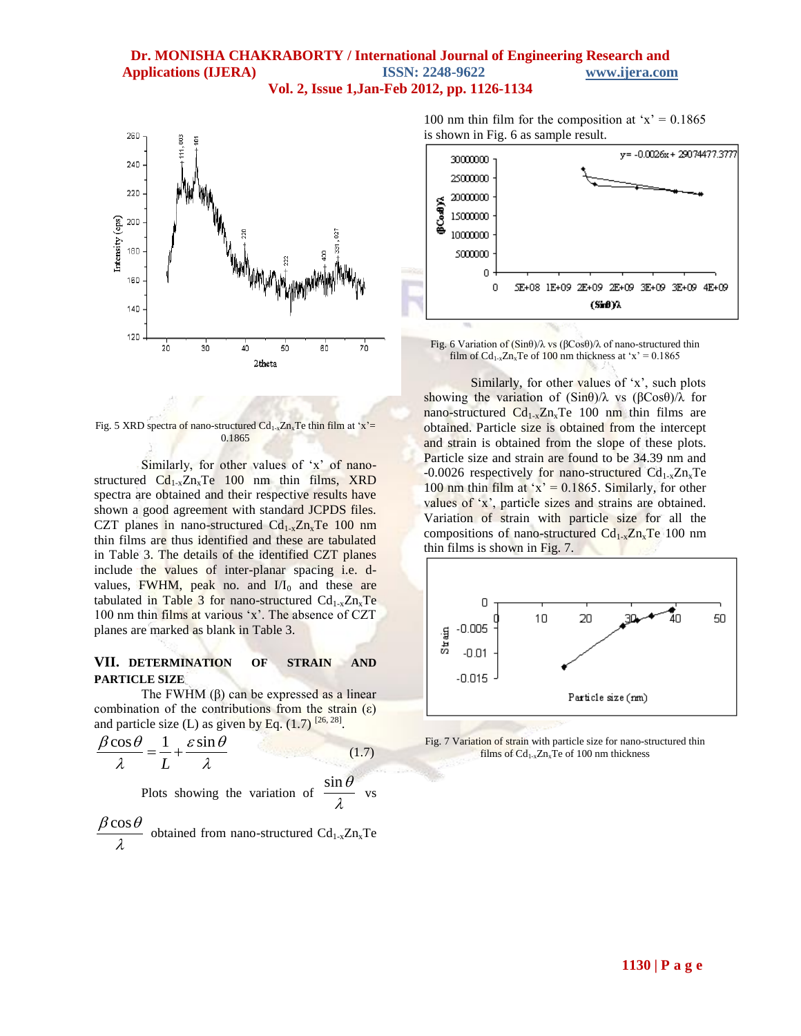

Fig. 5 XRD spectra of nano-structured  $Cd_{1-x}Zn_xTe$  thin film at 'x'= 0.1865

Similarly, for other values of 'x' of nanostructured  $Cd_{1-x}Zn_xTe$  100 nm thin films, XRD spectra are obtained and their respective results have shown a good agreement with standard JCPDS files. CZT planes in nano-structured  $Cd<sub>1-x</sub>Zn<sub>x</sub>Te$  100 nm thin films are thus identified and these are tabulated in Table 3. The details of the identified CZT planes include the values of inter-planar spacing i.e. dvalues, FWHM, peak no. and  $I/I_0$  and these are tabulated in Table 3 for nano-structured  $Cd_{1-x}Zn_xTe$ 100 nm thin films at various 'x'. The absence of CZT planes are marked as blank in Table 3.

#### **VII. DETERMINATION OF STRAIN AND PARTICLE SIZE**

The FWHM  $(\beta)$  can be expressed as a linear combination of the contributions from the strain  $(\epsilon)$ and particle size (L) as given by Eq. (1.7) [26, 28].<br>  $\beta \cos \theta = 1 + \varepsilon \sin \theta$ 

$$
\frac{\beta \cos \theta}{\lambda} = \frac{1}{L} + \frac{\varepsilon \sin \theta}{\lambda}
$$
\n(1.7)  
\nPlots showing the variation of  $\frac{\sin \theta}{\lambda}$  vs

$$
\frac{\beta \cos \theta}{\lambda}
$$
 obtained from nano-structured Cd<sub>1-x</sub>Zn<sub>x</sub>Te

100 nm thin film for the composition at ' $x' = 0.1865$ is shown in Fig. 6 as sample result.



Fig. 6 Variation of (Sinθ)/λ vs (βCosθ)/λ of nano-structured thin film of  $Cd_{1-x}Zn_xTe$  of 100 nm thickness at 'x' = 0.1865

Similarly, for other values of 'x', such plots showing the variation of (Sinθ)/λ vs (βCosθ)/λ for nano-structured  $Cd_{1-x}Zn_xTe$  100 nm thin films are obtained. Particle size is obtained from the intercept and strain is obtained from the slope of these plots. Particle size and strain are found to be 34.39 nm and -0.0026 respectively for nano-structured  $Cd_{1-x}Zn_xTe$ 100 nm thin film at 'x' =  $0.1865$ . Similarly, for other values of 'x', particle sizes and strains are obtained. Variation of strain with particle size for all the compositions of nano-structured  $Cd_{1-x}Zn_xTe$  100 nm thin films is shown in Fig. 7.



Fig. 7 Variation of strain with particle size for nano-structured thin films of  $Cd_{1-x}Zn_xTe$  of 100 nm thickness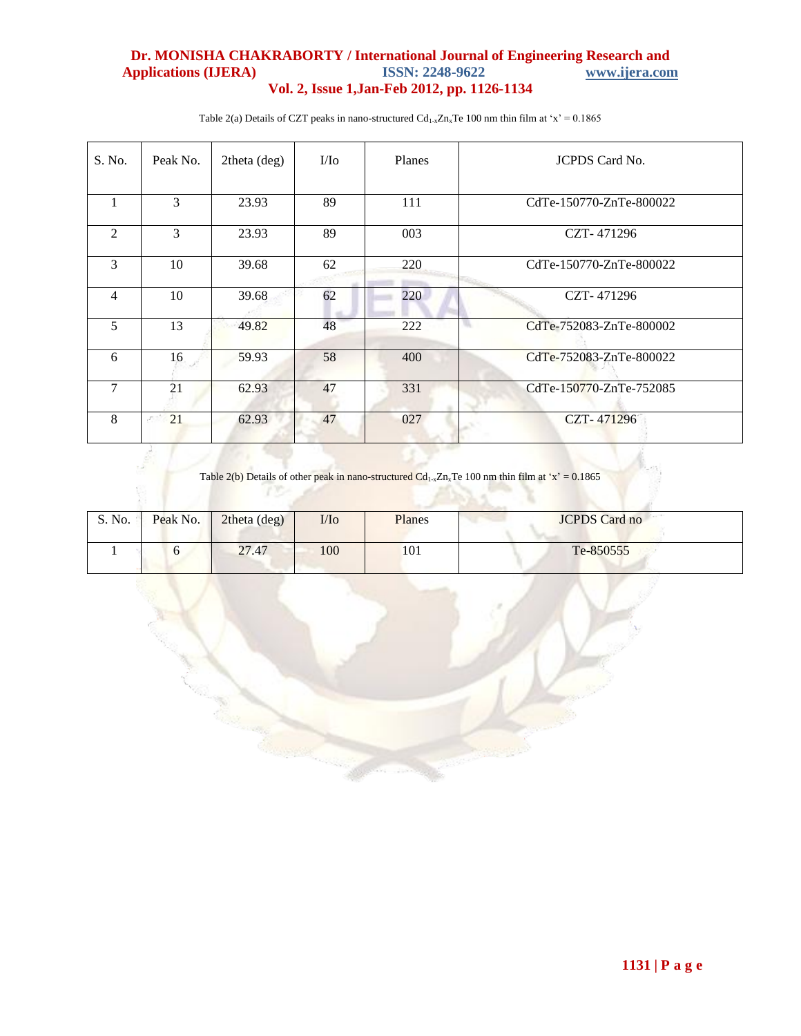## **Dr. MONISHA CHAKRABORTY / International Journal of Engineering Research and**  Applications (**IJERA**) **Vol. 2, Issue 1,Jan-Feb 2012, pp. 1126-1134**

| S. No.         | Peak No. | 2theta (deg) | $\mathbf{I}/\mathbf{I}$ o | <b>Planes</b> | <b>JCPDS</b> Card No.         |
|----------------|----------|--------------|---------------------------|---------------|-------------------------------|
|                | 3        | 23.93        | 89                        | 111           | CdTe-150770-ZnTe-800022       |
| $\overline{2}$ | 3        | 23.93        | 89                        | 003           | CZT-471296                    |
| 3              | 10       | 39.68        | 62                        | 220           | CdTe-150770-ZnTe-800022       |
| 4              | 10       | 39.68        | 62                        | 220           | CZT-471296                    |
| 5              | 13       | 49.82        | 48                        | 222           | ъ.<br>CdTe-752083-ZnTe-800002 |
| 6              | 16       | 59.93        | 58                        | 400           | CdTe-752083-ZnTe-800022       |
| $\tau$         | 21       | 62.93        | 47                        | 331           | CdTe-150770-ZnTe-752085       |
| 8              | 21       | 62.93        | 47                        | 027           | CZT-471296                    |

Table 2(a) Details of CZT peaks in nano-structured  $Cd_{1-x}Zn_xTe$  100 nm thin film at 'x' = 0.1865

Table 2(b) Details of other peak in nano-structured  $Cd_{1-x}Zn_xTe$  100 nm thin film at 'x' = 0.1865

| S. No. | Peak No. | 2theta (deg) | $\mathop{\rm I\mskip -1.5mu\it\rm I\mskip -1.5mu l}$ | Planes | <b>JCPDS</b> Card no |
|--------|----------|--------------|------------------------------------------------------|--------|----------------------|
|        |          | 27.47        | 100                                                  | 101    | Te-850555            |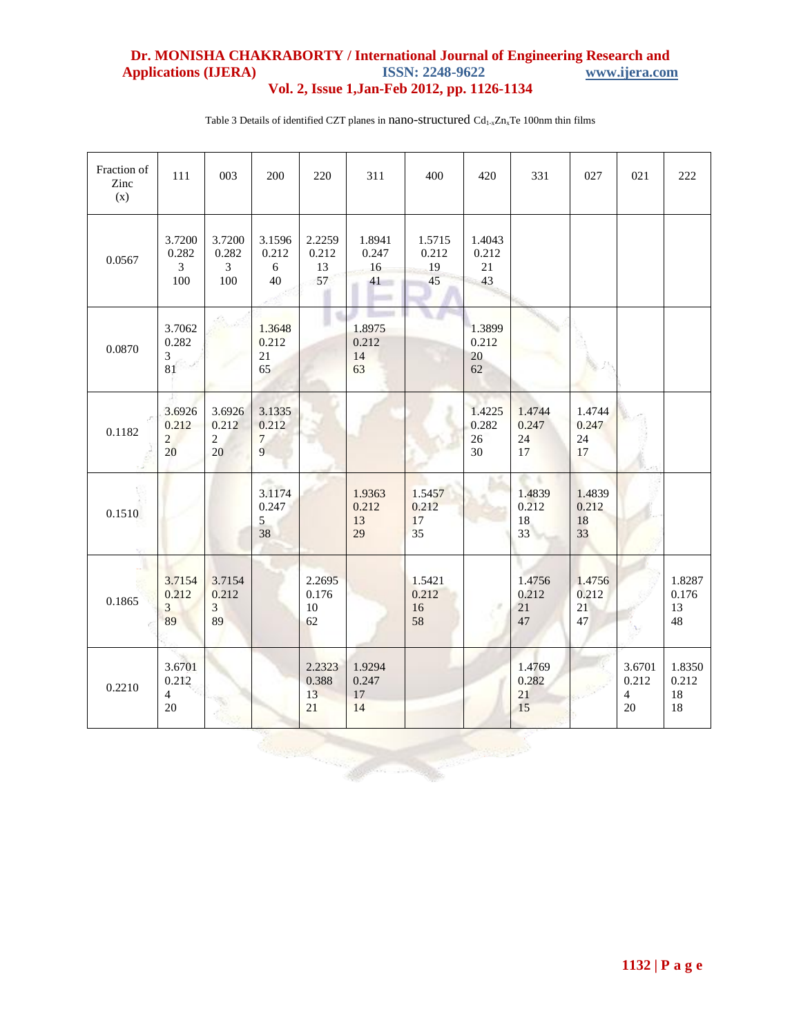| Fraction of<br>Zinc<br>(x)             | 111                                      | 003                                      | 200                                     | 220                         | 311                         | 400                         | 420                             | 331                         | 027                         | 021                                     | 222                         |
|----------------------------------------|------------------------------------------|------------------------------------------|-----------------------------------------|-----------------------------|-----------------------------|-----------------------------|---------------------------------|-----------------------------|-----------------------------|-----------------------------------------|-----------------------------|
| 0.0567                                 | 3.7200<br>0.282<br>$\mathfrak{Z}$<br>100 | 3.7200<br>0.282<br>$\mathfrak{Z}$<br>100 | 3.1596<br>0.212<br>6<br>40              | 2.2259<br>0.212<br>13<br>57 | 1.8941<br>0.247<br>16<br>41 | 1.5715<br>0.212<br>19<br>45 | 1.4043<br>0.212<br>21<br>43     |                             |                             |                                         |                             |
| 0.0870                                 | 3.7062<br>0.282<br>3<br>81               |                                          | 1.3648<br>0.212<br>21<br>65             |                             | 1.8975<br>0.212<br>14<br>63 |                             | 1.3899<br>0.212<br>20<br>62     |                             |                             |                                         |                             |
| 0.1182                                 | 3.6926<br>0.212<br>$\overline{2}$<br>20  | 3.6926<br>0.212<br>$\sqrt{2}$<br>20      | 3.1335<br>0.212<br>$\overline{7}$<br>9  |                             |                             |                             | 1.4225<br>0.282<br>26<br>$30\,$ | 1.4744<br>0.247<br>24<br>17 | 1.4744<br>0.247<br>24<br>17 |                                         |                             |
| 0.1510                                 |                                          |                                          | 3.1174<br>0.247<br>$\mathfrak{S}$<br>38 |                             | 1.9363<br>0.212<br>13<br>29 | 1.5457<br>0.212<br>17<br>35 |                                 | 1.4839<br>0.212<br>18<br>33 | 1.4839<br>0.212<br>18<br>33 |                                         |                             |
| 0.1865                                 | 3.7154<br>0.212<br>3<br>89               | 3.7154<br>0.212<br>3<br>89               |                                         | 2.2695<br>0.176<br>10<br>62 |                             | 1.5421<br>0.212<br>16<br>58 | $\mathcal{R}$                   | 1.4756<br>0.212<br>21<br>47 | 1.4756<br>0.212<br>21<br>47 |                                         | 1.8287<br>0.176<br>13<br>48 |
| 0.2210                                 | 3.6701<br>0.212<br>$\overline{4}$<br>20  |                                          |                                         | 2.2323<br>0.388<br>13<br>21 | 1.9294<br>0.247<br>17<br>14 |                             |                                 | 1.4769<br>0.282<br>21<br>15 |                             | 3.6701<br>0.212<br>$\overline{4}$<br>20 | 1.8350<br>0.212<br>18<br>18 |
| <b>Representation</b><br><b>Waynes</b> |                                          |                                          |                                         |                             |                             |                             |                                 |                             |                             |                                         |                             |

Table 3 Details of identified CZT planes in nano-structured  $Cd_{1-x}Zn_xTe$  100nm thin films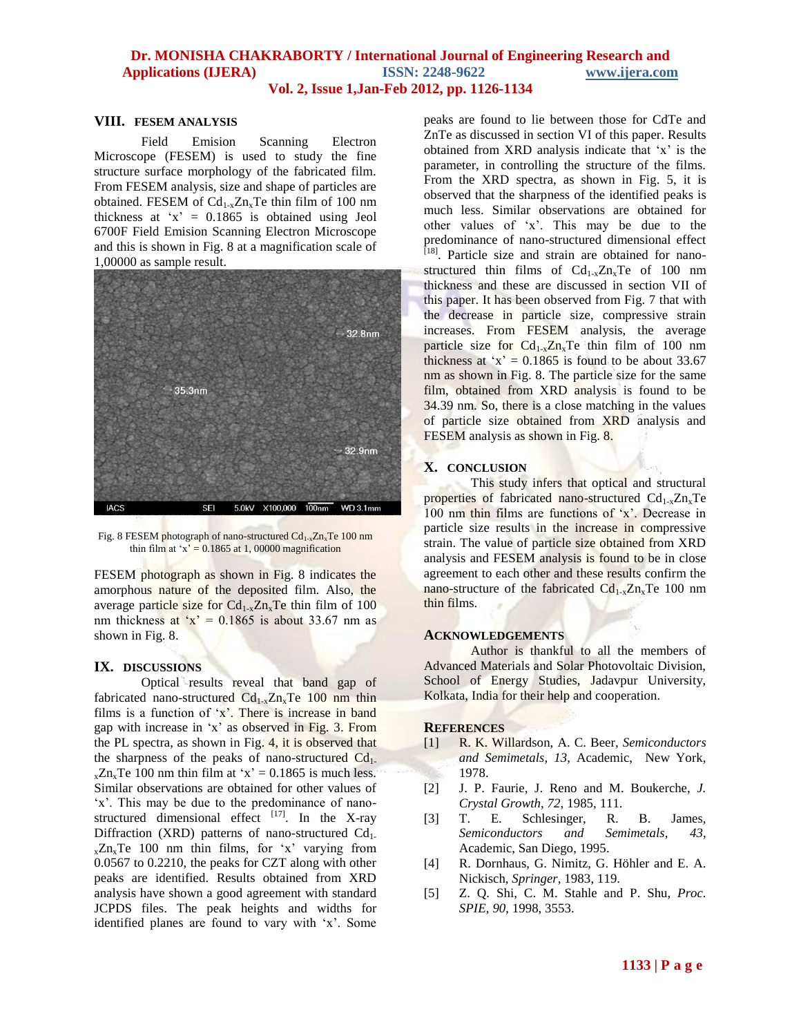#### **VIII. FESEM ANALYSIS**

Field Emision Scanning Electron Microscope (FESEM) is used to study the fine structure surface morphology of the fabricated film. From FESEM analysis, size and shape of particles are obtained. FESEM of  $Cd_{1-x}Zn_xTe$  thin film of 100 nm thickness at ' $x' = 0.1865$  is obtained using Jeol 6700F Field Emision Scanning Electron Microscope and this is shown in Fig. 8 at a magnification scale of 1,00000 as sample result.



Fig. 8 FESEM photograph of nano-structured  $Cd_{1-x}Zn_xTe$  100 nm thin film at 'x' =  $0.1865$  at 1, 00000 magnification

FESEM photograph as shown in Fig. 8 indicates the amorphous nature of the deposited film. Also, the average particle size for  $Cd_{1-x}Zn_xTe$  thin film of 100 nm thickness at ' $x' = 0.1865$  is about 33.67 nm as shown in Fig. 8.

#### **IX. DISCUSSIONS**

Optical results reveal that band gap of fabricated nano-structured  $Cd_{1-x}Zn_xTe$  100 nm thin films is a function of 'x'. There is increase in band gap with increase in 'x' as observed in Fig. 3. From the PL spectra, as shown in Fig. 4, it is observed that the sharpness of the peaks of nano-structured  $Cd<sub>1</sub>$ .  $_{x}Zn_{x}Te$  100 nm thin film at 'x' = 0.1865 is much less. Similar observations are obtained for other values of 'x'. This may be due to the predominance of nanostructured dimensional effect  $[17]$ . In the X-ray Diffraction (XRD) patterns of nano-structured  $Cd<sub>1</sub>$ .  $_{x}Zn_{x}Te$  100 nm thin films, for 'x' varying from 0.0567 to 0.2210, the peaks for CZT along with other peaks are identified. Results obtained from XRD analysis have shown a good agreement with standard JCPDS files. The peak heights and widths for identified planes are found to vary with 'x'. Some

peaks are found to lie between those for CdTe and ZnTe as discussed in section VI of this paper. Results obtained from XRD analysis indicate that 'x' is the parameter, in controlling the structure of the films. From the XRD spectra, as shown in Fig. 5, it is observed that the sharpness of the identified peaks is much less. Similar observations are obtained for other values of 'x'. This may be due to the predominance of nano-structured dimensional effect <sup>[18]</sup>. Particle size and strain are obtained for nanostructured thin films of  $Cd_{1-x}Zn_xTe$  of 100 nm thickness and these are discussed in section VII of this paper. It has been observed from Fig. 7 that with the decrease in particle size, compressive strain increases. From FESEM analysis, the average particle size for  $Cd_{1-x}Zn_xTe$  thin film of 100 nm thickness at 'x' =  $0.1865$  is found to be about 33.67 nm as shown in Fig. 8. The particle size for the same film, obtained from XRD analysis is found to be 34.39 nm. So, there is a close matching in the values of particle size obtained from XRD analysis and FESEM analysis as shown in Fig. 8.

#### **X. CONCLUSION**

This study infers that optical and structural properties of fabricated nano-structured  $Cd_{1-x}Zn_xTe$ 100 nm thin films are functions of 'x'. Decrease in particle size results in the increase in compressive strain. The value of particle size obtained from XRD analysis and FESEM analysis is found to be in close agreement to each other and these results confirm the nano-structure of the fabricated  $Cd<sub>1-x</sub>Zn<sub>x</sub>Te$  100 nm thin films.

#### **ACKNOWLEDGEMENTS**

Author is thankful to all the members of Advanced Materials and Solar Photovoltaic Division, School of Energy Studies, Jadavpur University, Kolkata, India for their help and cooperation.

#### **REFERENCES**

- [1] R. K. Willardson, A. C. Beer, *Semiconductors and Semimetals*, *13*, Academic, New York, 1978.
- [2] J. P. Faurie, J. Reno and M. Boukerche, *J. Crystal Growth*, *72*, 1985, 111.
- [3] T. E. Schlesinger, R. B. James*, Semiconductors and Semimetals*, *43*, Academic, San Diego, 1995.
- [4] R. Dornhaus, G. Nimitz, G. Höhler and E. A. Nickisch, *Springer*, 1983, 119.
- [5] Z. Q. Shi, C. M. Stahle and P. Shu, *Proc. SPIE*, *90*, 1998, 3553.